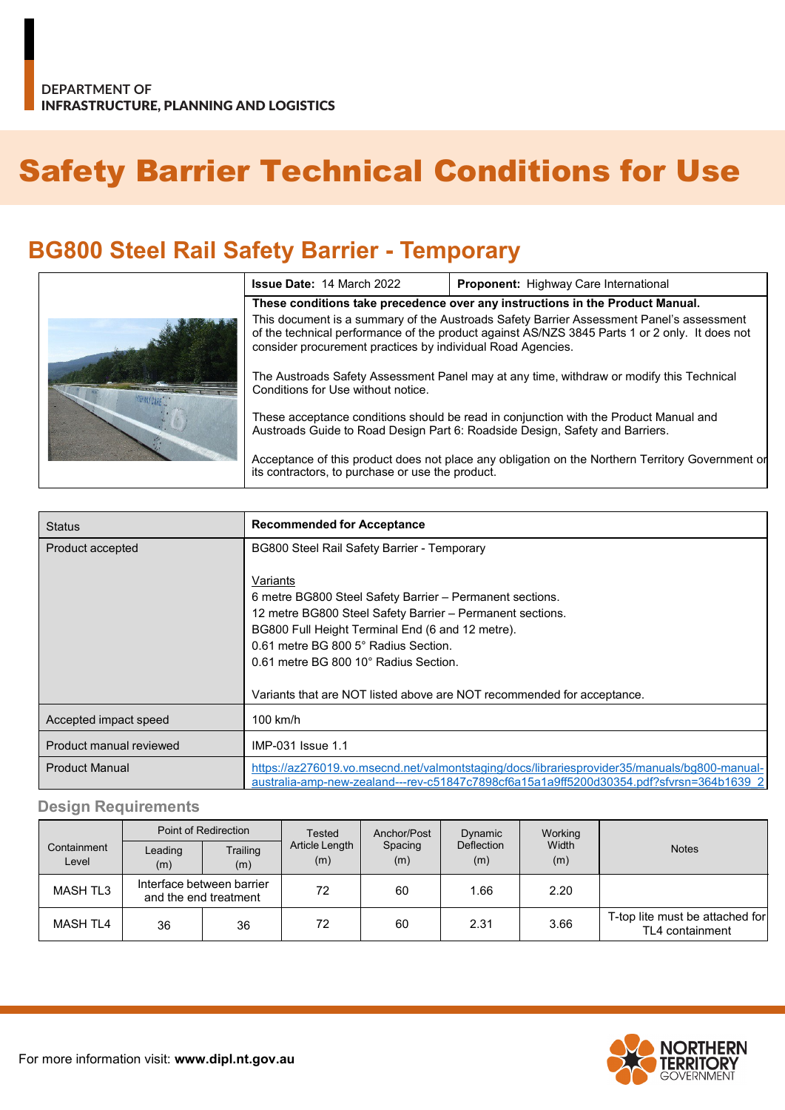# Safety Barrier Technical Conditions for Use

# **BG800 Steel Rail Safety Barrier - Temporary**

|  | <b>Issue Date: 14 March 2022</b>                                                                                                                                                                                                                          | <b>Proponent:</b> Highway Care International                                                     |  |  |  |
|--|-----------------------------------------------------------------------------------------------------------------------------------------------------------------------------------------------------------------------------------------------------------|--------------------------------------------------------------------------------------------------|--|--|--|
|  | These conditions take precedence over any instructions in the Product Manual.                                                                                                                                                                             |                                                                                                  |  |  |  |
|  | This document is a summary of the Austroads Safety Barrier Assessment Panel's assessment<br>of the technical performance of the product against AS/NZS 3845 Parts 1 or 2 only. It does not<br>consider procurement practices by individual Road Agencies. |                                                                                                  |  |  |  |
|  | The Austroads Safety Assessment Panel may at any time, withdraw or modify this Technical<br>Conditions for Use without notice.                                                                                                                            |                                                                                                  |  |  |  |
|  | These acceptance conditions should be read in conjunction with the Product Manual and<br>Austroads Guide to Road Design Part 6: Roadside Design, Safety and Barriers.                                                                                     |                                                                                                  |  |  |  |
|  | its contractors, to purchase or use the product.                                                                                                                                                                                                          | Acceptance of this product does not place any obligation on the Northern Territory Government or |  |  |  |

| <b>Status</b>           | <b>Recommended for Acceptance</b>                                                                                                                                                       |  |  |  |
|-------------------------|-----------------------------------------------------------------------------------------------------------------------------------------------------------------------------------------|--|--|--|
| Product accepted        | BG800 Steel Rail Safety Barrier - Temporary                                                                                                                                             |  |  |  |
|                         |                                                                                                                                                                                         |  |  |  |
|                         | Variants                                                                                                                                                                                |  |  |  |
|                         | 6 metre BG800 Steel Safety Barrier - Permanent sections.                                                                                                                                |  |  |  |
|                         | 12 metre BG800 Steel Safety Barrier - Permanent sections.                                                                                                                               |  |  |  |
|                         | BG800 Full Height Terminal End (6 and 12 metre).                                                                                                                                        |  |  |  |
|                         | 0.61 metre BG 800 5° Radius Section.                                                                                                                                                    |  |  |  |
|                         | 0.61 metre BG 800 10° Radius Section.                                                                                                                                                   |  |  |  |
|                         |                                                                                                                                                                                         |  |  |  |
|                         | Variants that are NOT listed above are NOT recommended for acceptance.                                                                                                                  |  |  |  |
| Accepted impact speed   | $100$ km/h                                                                                                                                                                              |  |  |  |
| Product manual reviewed | IMP-031 Issue 1.1                                                                                                                                                                       |  |  |  |
| <b>Product Manual</b>   | https://az276019.vo.msecnd.net/valmontstaging/docs/librariesprovider35/manuals/bg800-manual-<br>australia-amp-new-zealand---rev-c51847c7898cf6a15a1a9ff5200d30354.pdf?sfvrsn=364b1639_2 |  |  |  |

#### **Design Requirements**

|                      | Point of Redirection                               |                 | <b>Tested</b>         | Anchor/Post    | Dynamic                  | Working      |                                                    |
|----------------------|----------------------------------------------------|-----------------|-----------------------|----------------|--------------------------|--------------|----------------------------------------------------|
| Containment<br>Level | Leading<br>(m)                                     | Trailing<br>(m) | Article Length<br>(m) | Spacing<br>(m) | <b>Deflection</b><br>(m) | Width<br>(m) | <b>Notes</b>                                       |
| <b>MASH TL3</b>      | Interface between barrier<br>and the end treatment |                 | 72                    | 60             | 1.66                     | 2.20         |                                                    |
| <b>MASH TL4</b>      | 36                                                 | 36              | 72                    | 60             | 2.31                     | 3.66         | T-top lite must be attached for<br>TL4 containment |

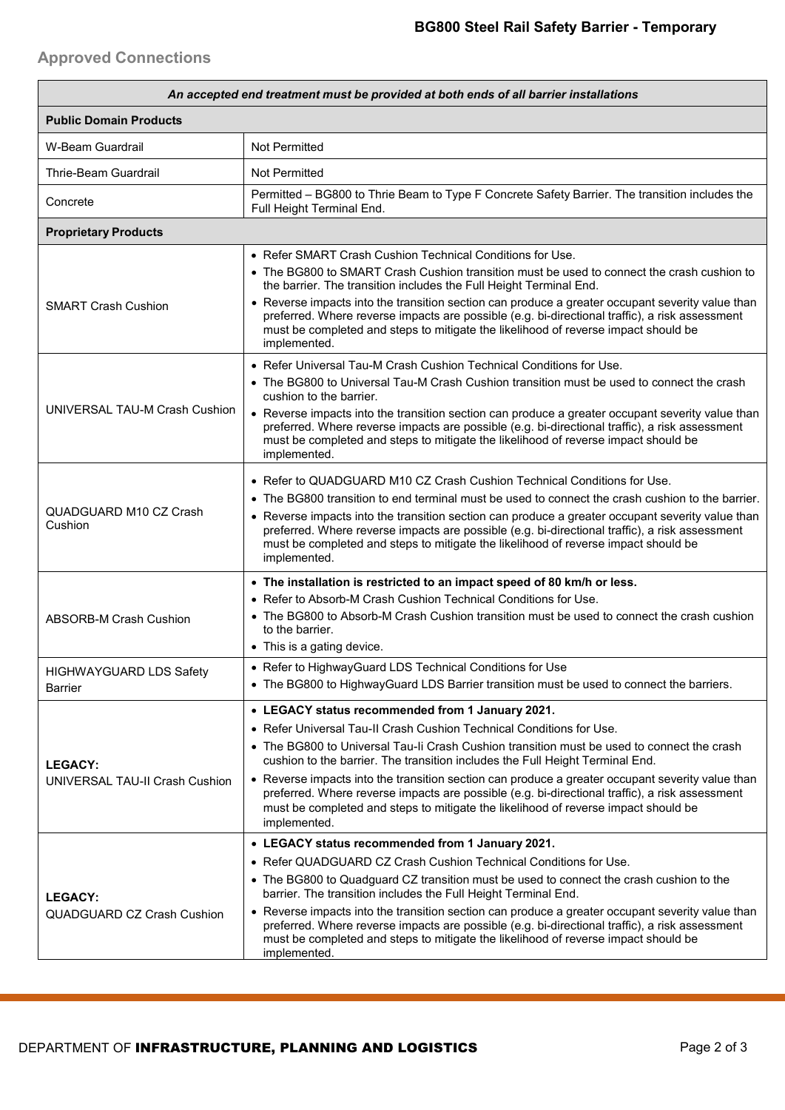## **Approved Connections**

| An accepted end treatment must be provided at both ends of all barrier installations |                                                                                                                                                                                                                                                                                                          |  |  |  |  |
|--------------------------------------------------------------------------------------|----------------------------------------------------------------------------------------------------------------------------------------------------------------------------------------------------------------------------------------------------------------------------------------------------------|--|--|--|--|
| <b>Public Domain Products</b>                                                        |                                                                                                                                                                                                                                                                                                          |  |  |  |  |
| W-Beam Guardrail                                                                     | Not Permitted                                                                                                                                                                                                                                                                                            |  |  |  |  |
| Thrie-Beam Guardrail                                                                 | Not Permitted                                                                                                                                                                                                                                                                                            |  |  |  |  |
| Concrete                                                                             | Permitted - BG800 to Thrie Beam to Type F Concrete Safety Barrier. The transition includes the<br>Full Height Terminal End.                                                                                                                                                                              |  |  |  |  |
| <b>Proprietary Products</b>                                                          |                                                                                                                                                                                                                                                                                                          |  |  |  |  |
|                                                                                      | • Refer SMART Crash Cushion Technical Conditions for Use.<br>• The BG800 to SMART Crash Cushion transition must be used to connect the crash cushion to<br>the barrier. The transition includes the Full Height Terminal End.                                                                            |  |  |  |  |
| <b>SMART Crash Cushion</b>                                                           | • Reverse impacts into the transition section can produce a greater occupant severity value than<br>preferred. Where reverse impacts are possible (e.g. bi-directional traffic), a risk assessment<br>must be completed and steps to mitigate the likelihood of reverse impact should be<br>implemented. |  |  |  |  |
|                                                                                      | • Refer Universal Tau-M Crash Cushion Technical Conditions for Use.                                                                                                                                                                                                                                      |  |  |  |  |
|                                                                                      | • The BG800 to Universal Tau-M Crash Cushion transition must be used to connect the crash<br>cushion to the barrier.                                                                                                                                                                                     |  |  |  |  |
| UNIVERSAL TAU-M Crash Cushion                                                        | • Reverse impacts into the transition section can produce a greater occupant severity value than<br>preferred. Where reverse impacts are possible (e.g. bi-directional traffic), a risk assessment<br>must be completed and steps to mitigate the likelihood of reverse impact should be<br>implemented. |  |  |  |  |
|                                                                                      | • Refer to QUADGUARD M10 CZ Crash Cushion Technical Conditions for Use.                                                                                                                                                                                                                                  |  |  |  |  |
|                                                                                      | • The BG800 transition to end terminal must be used to connect the crash cushion to the barrier.                                                                                                                                                                                                         |  |  |  |  |
| QUADGUARD M10 CZ Crash<br>Cushion                                                    | • Reverse impacts into the transition section can produce a greater occupant severity value than<br>preferred. Where reverse impacts are possible (e.g. bi-directional traffic), a risk assessment<br>must be completed and steps to mitigate the likelihood of reverse impact should be<br>implemented. |  |  |  |  |
|                                                                                      | • The installation is restricted to an impact speed of 80 km/h or less.                                                                                                                                                                                                                                  |  |  |  |  |
|                                                                                      | • Refer to Absorb-M Crash Cushion Technical Conditions for Use.                                                                                                                                                                                                                                          |  |  |  |  |
| <b>ABSORB-M Crash Cushion</b>                                                        | • The BG800 to Absorb-M Crash Cushion transition must be used to connect the crash cushion<br>to the barrier.                                                                                                                                                                                            |  |  |  |  |
|                                                                                      | • This is a gating device.                                                                                                                                                                                                                                                                               |  |  |  |  |
| <b>HIGHWAYGUARD LDS Safety</b>                                                       | • Refer to HighwayGuard LDS Technical Conditions for Use<br>• The BG800 to HighwayGuard LDS Barrier transition must be used to connect the barriers.                                                                                                                                                     |  |  |  |  |
| Barrier                                                                              |                                                                                                                                                                                                                                                                                                          |  |  |  |  |
|                                                                                      | • LEGACY status recommended from 1 January 2021.<br>• Refer Universal Tau-II Crash Cushion Technical Conditions for Use.                                                                                                                                                                                 |  |  |  |  |
|                                                                                      | • The BG800 to Universal Tau-Ii Crash Cushion transition must be used to connect the crash                                                                                                                                                                                                               |  |  |  |  |
| <b>LEGACY:</b>                                                                       | cushion to the barrier. The transition includes the Full Height Terminal End.                                                                                                                                                                                                                            |  |  |  |  |
| UNIVERSAL TAU-II Crash Cushion                                                       | • Reverse impacts into the transition section can produce a greater occupant severity value than<br>preferred. Where reverse impacts are possible (e.g. bi-directional traffic), a risk assessment<br>must be completed and steps to mitigate the likelihood of reverse impact should be<br>implemented. |  |  |  |  |
|                                                                                      | • LEGACY status recommended from 1 January 2021.                                                                                                                                                                                                                                                         |  |  |  |  |
|                                                                                      | • Refer QUADGUARD CZ Crash Cushion Technical Conditions for Use.                                                                                                                                                                                                                                         |  |  |  |  |
| <b>LEGACY:</b>                                                                       | • The BG800 to Quadguard CZ transition must be used to connect the crash cushion to the<br>barrier. The transition includes the Full Height Terminal End.                                                                                                                                                |  |  |  |  |
| QUADGUARD CZ Crash Cushion                                                           | • Reverse impacts into the transition section can produce a greater occupant severity value than<br>preferred. Where reverse impacts are possible (e.g. bi-directional traffic), a risk assessment<br>must be completed and steps to mitigate the likelihood of reverse impact should be<br>implemented. |  |  |  |  |